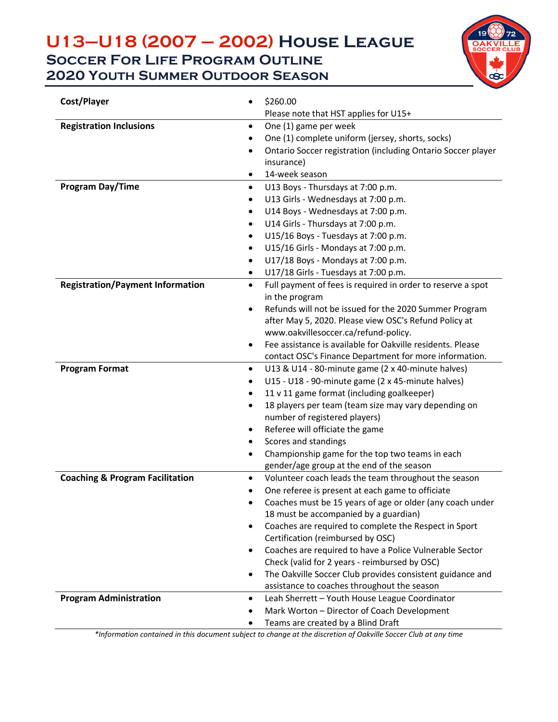### **U13–U18 (2007 – 2002) House League Soccer For Life Program Outline 2020 Youth Summer Outdoor Season**



| Cost/Player                                | \$260.00                                                                                                              |  |  |  |
|--------------------------------------------|-----------------------------------------------------------------------------------------------------------------------|--|--|--|
|                                            | Please note that HST applies for U15+                                                                                 |  |  |  |
| <b>Registration Inclusions</b>             | One (1) game per week                                                                                                 |  |  |  |
|                                            | One (1) complete uniform (jersey, shorts, socks)                                                                      |  |  |  |
|                                            | Ontario Soccer registration (including Ontario Soccer player                                                          |  |  |  |
|                                            | insurance)                                                                                                            |  |  |  |
|                                            | 14-week season                                                                                                        |  |  |  |
| <b>Program Day/Time</b>                    | U13 Boys - Thursdays at 7:00 p.m.<br>$\bullet$                                                                        |  |  |  |
|                                            | U13 Girls - Wednesdays at 7:00 p.m.                                                                                   |  |  |  |
|                                            | U14 Boys - Wednesdays at 7:00 p.m.                                                                                    |  |  |  |
|                                            | U14 Girls - Thursdays at 7:00 p.m.                                                                                    |  |  |  |
|                                            | U15/16 Boys - Tuesdays at 7:00 p.m.                                                                                   |  |  |  |
|                                            | U15/16 Girls - Mondays at 7:00 p.m.                                                                                   |  |  |  |
|                                            | U17/18 Boys - Mondays at 7:00 p.m.                                                                                    |  |  |  |
|                                            | U17/18 Girls - Tuesdays at 7:00 p.m.                                                                                  |  |  |  |
| <b>Registration/Payment Information</b>    | Full payment of fees is required in order to reserve a spot<br>$\bullet$<br>in the program                            |  |  |  |
|                                            | Refunds will not be issued for the 2020 Summer Program<br>$\bullet$                                                   |  |  |  |
|                                            | after May 5, 2020. Please view OSC's Refund Policy at                                                                 |  |  |  |
|                                            | www.oakvillesoccer.ca/refund-policy.                                                                                  |  |  |  |
|                                            | Fee assistance is available for Oakville residents. Please                                                            |  |  |  |
|                                            | contact OSC's Finance Department for more information.                                                                |  |  |  |
| <b>Program Format</b>                      | U13 & U14 - 80-minute game (2 x 40-minute halves)<br>$\bullet$                                                        |  |  |  |
|                                            | U15 - U18 - 90-minute game (2 x 45-minute halves)                                                                     |  |  |  |
|                                            | 11 v 11 game format (including goalkeeper)                                                                            |  |  |  |
|                                            | 18 players per team (team size may vary depending on                                                                  |  |  |  |
|                                            | number of registered players)                                                                                         |  |  |  |
|                                            | Referee will officiate the game                                                                                       |  |  |  |
|                                            | Scores and standings                                                                                                  |  |  |  |
|                                            | Championship game for the top two teams in each                                                                       |  |  |  |
|                                            | gender/age group at the end of the season                                                                             |  |  |  |
| <b>Coaching &amp; Program Facilitation</b> | Volunteer coach leads the team throughout the season<br>$\bullet$                                                     |  |  |  |
|                                            | One referee is present at each game to officiate<br>٠                                                                 |  |  |  |
|                                            | Coaches must be 15 years of age or older (any coach under                                                             |  |  |  |
|                                            | 18 must be accompanied by a guardian)                                                                                 |  |  |  |
|                                            | Coaches are required to complete the Respect in Sport<br>$\bullet$                                                    |  |  |  |
|                                            | Certification (reimbursed by OSC)                                                                                     |  |  |  |
|                                            | Coaches are required to have a Police Vulnerable Sector<br>$\bullet$<br>Check (valid for 2 years - reimbursed by OSC) |  |  |  |
|                                            | The Oakville Soccer Club provides consistent guidance and<br>$\bullet$                                                |  |  |  |
|                                            | assistance to coaches throughout the season                                                                           |  |  |  |
| <b>Program Administration</b>              | Leah Sherrett - Youth House League Coordinator<br>$\bullet$                                                           |  |  |  |
|                                            | Mark Worton - Director of Coach Development                                                                           |  |  |  |
|                                            | Teams are created by a Blind Draft                                                                                    |  |  |  |

*\*Information contained in this document subject to change at the discretion of Oakville Soccer Club at any time*